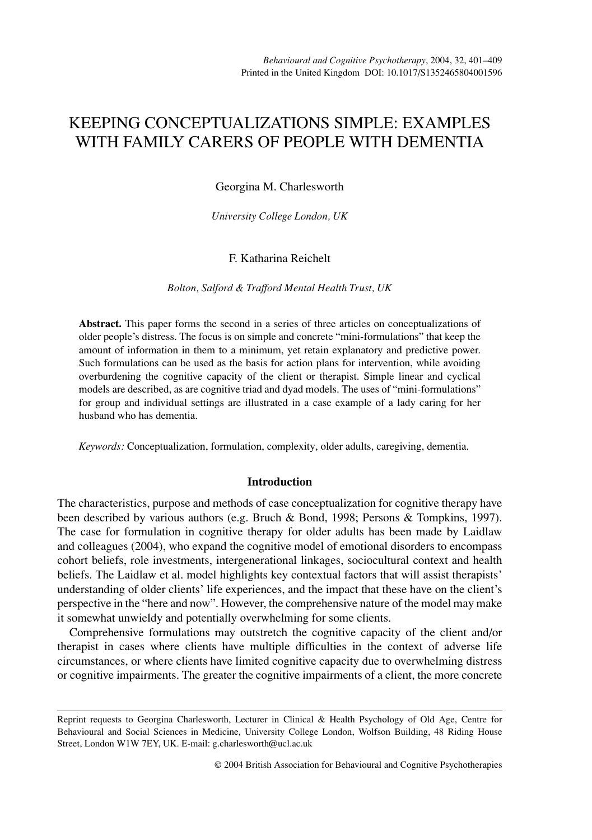# KEEPING CONCEPTUALIZATIONS SIMPLE: EXAMPLES WITH FAMILY CARERS OF PEOPLE WITH DEMENTIA

## Georgina M. Charlesworth

*University College London, UK*

# F. Katharina Reichelt

#### *Bolton, Salford & Trafford Mental Health Trust, UK*

**Abstract.** This paper forms the second in a series of three articles on conceptualizations of older people's distress. The focus is on simple and concrete "mini-formulations" that keep the amount of information in them to a minimum, yet retain explanatory and predictive power. Such formulations can be used as the basis for action plans for intervention, while avoiding overburdening the cognitive capacity of the client or therapist. Simple linear and cyclical models are described, as are cognitive triad and dyad models. The uses of "mini-formulations" for group and individual settings are illustrated in a case example of a lady caring for her husband who has dementia.

*Keywords:* Conceptualization, formulation, complexity, older adults, caregiving, dementia.

## **Introduction**

The characteristics, purpose and methods of case conceptualization for cognitive therapy have been described by various authors (e.g. Bruch & Bond, 1998; Persons & Tompkins, 1997). The case for formulation in cognitive therapy for older adults has been made by Laidlaw and colleagues (2004), who expand the cognitive model of emotional disorders to encompass cohort beliefs, role investments, intergenerational linkages, sociocultural context and health beliefs. The Laidlaw et al. model highlights key contextual factors that will assist therapists' understanding of older clients' life experiences, and the impact that these have on the client's perspective in the "here and now". However, the comprehensive nature of the model may make it somewhat unwieldy and potentially overwhelming for some clients.

Comprehensive formulations may outstretch the cognitive capacity of the client and/or therapist in cases where clients have multiple difficulties in the context of adverse life circumstances, or where clients have limited cognitive capacity due to overwhelming distress or cognitive impairments. The greater the cognitive impairments of a client, the more concrete

Reprint requests to Georgina Charlesworth, Lecturer in Clinical & Health Psychology of Old Age, Centre for Behavioural and Social Sciences in Medicine, University College London, Wolfson Building, 48 Riding House Street, London W1W 7EY, UK. E-mail: g.charlesworth@ucl.ac.uk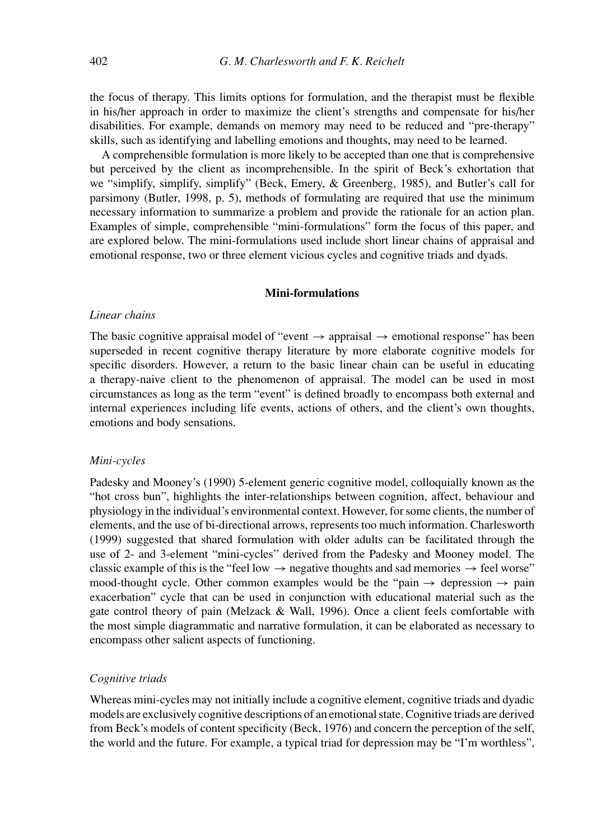the focus of therapy. This limits options for formulation, and the therapist must be flexible in his/her approach in order to maximize the client's strengths and compensate for his/her disabilities. For example, demands on memory may need to be reduced and "pre-therapy" skills, such as identifying and labelling emotions and thoughts, may need to be learned.

A comprehensible formulation is more likely to be accepted than one that is comprehensive but perceived by the client as incomprehensible. In the spirit of Beck's exhortation that we "simplify, simplify, simplify" (Beck, Emery, & Greenberg, 1985), and Butler's call for parsimony (Butler, 1998, p. 5), methods of formulating are required that use the minimum necessary information to summarize a problem and provide the rationale for an action plan. Examples of simple, comprehensible "mini-formulations" form the focus of this paper, and are explored below. The mini-formulations used include short linear chains of appraisal and emotional response, two or three element vicious cycles and cognitive triads and dyads.

#### **Mini-formulations**

## *Linear chains*

The basic cognitive appraisal model of "event  $\rightarrow$  appraisal  $\rightarrow$  emotional response" has been superseded in recent cognitive therapy literature by more elaborate cognitive models for specific disorders. However, a return to the basic linear chain can be useful in educating a therapy-naive client to the phenomenon of appraisal. The model can be used in most circumstances as long as the term "event" is defined broadly to encompass both external and internal experiences including life events, actions of others, and the client's own thoughts, emotions and body sensations.

#### *Mini-cycles*

Padesky and Mooney's (1990) 5-element generic cognitive model, colloquially known as the "hot cross bun", highlights the inter-relationships between cognition, affect, behaviour and physiology in the individual's environmental context. However, for some clients, the number of elements, and the use of bi-directional arrows, represents too much information. Charlesworth (1999) suggested that shared formulation with older adults can be facilitated through the use of 2- and 3-element "mini-cycles" derived from the Padesky and Mooney model. The classic example of this is the "feel low  $\rightarrow$  negative thoughts and sad memories  $\rightarrow$  feel worse" mood-thought cycle. Other common examples would be the "pain  $\rightarrow$  depression  $\rightarrow$  pain exacerbation" cycle that can be used in conjunction with educational material such as the gate control theory of pain (Melzack & Wall, 1996). Once a client feels comfortable with the most simple diagrammatic and narrative formulation, it can be elaborated as necessary to encompass other salient aspects of functioning.

# *Cognitive triads*

Whereas mini-cycles may not initially include a cognitive element, cognitive triads and dyadic models are exclusively cognitive descriptions of an emotional state. Cognitive triads are derived from Beck's models of content specificity (Beck, 1976) and concern the perception of the self, the world and the future. For example, a typical triad for depression may be "I'm worthless",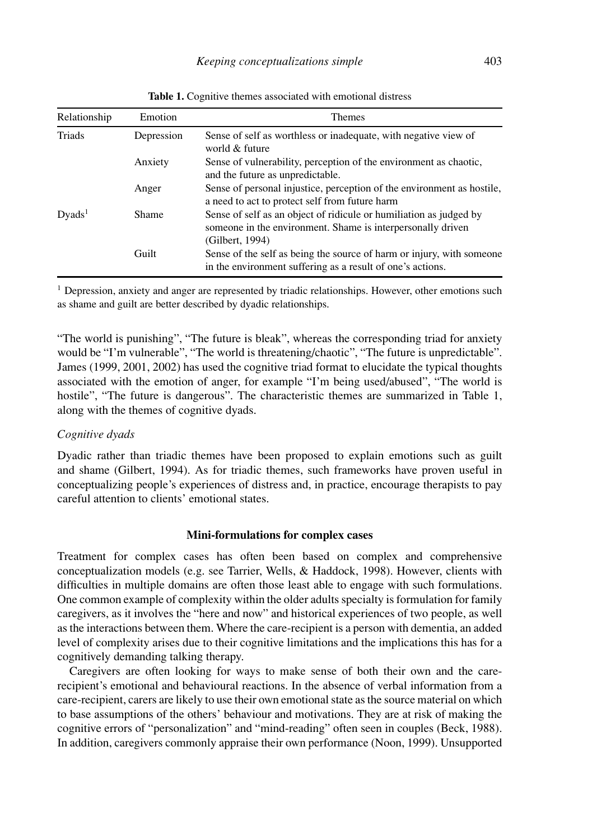| Relationship            | Emotion    | <b>Themes</b>                                                                                                                                        |
|-------------------------|------------|------------------------------------------------------------------------------------------------------------------------------------------------------|
| Triads                  | Depression | Sense of self as worthless or inadequate, with negative view of<br>world & future                                                                    |
|                         | Anxiety    | Sense of vulnerability, perception of the environment as chaotic,<br>and the future as unpredictable.                                                |
|                         | Anger      | Sense of personal injustice, perception of the environment as hostile,<br>a need to act to protect self from future harm                             |
| $D\nu$ ads <sup>1</sup> | Shame      | Sense of self as an object of ridicule or humiliation as judged by<br>someone in the environment. Shame is interpersonally driven<br>(Gilbert, 1994) |
|                         | Guilt      | Sense of the self as being the source of harm or injury, with someone<br>in the environment suffering as a result of one's actions.                  |

**Table 1.** Cognitive themes associated with emotional distress

 $<sup>1</sup>$  Depression, anxiety and anger are represented by triadic relationships. However, other emotions such</sup> as shame and guilt are better described by dyadic relationships.

"The world is punishing", "The future is bleak", whereas the corresponding triad for anxiety would be "I'm vulnerable", "The world is threatening/chaotic", "The future is unpredictable". James (1999, 2001, 2002) has used the cognitive triad format to elucidate the typical thoughts associated with the emotion of anger, for example "I'm being used/abused", "The world is hostile", "The future is dangerous". The characteristic themes are summarized in Table 1, along with the themes of cognitive dyads.

# *Cognitive dyads*

Dyadic rather than triadic themes have been proposed to explain emotions such as guilt and shame (Gilbert, 1994). As for triadic themes, such frameworks have proven useful in conceptualizing people's experiences of distress and, in practice, encourage therapists to pay careful attention to clients' emotional states.

## **Mini-formulations for complex cases**

Treatment for complex cases has often been based on complex and comprehensive conceptualization models (e.g. see Tarrier, Wells, & Haddock, 1998). However, clients with difficulties in multiple domains are often those least able to engage with such formulations. One common example of complexity within the older adults specialty is formulation for family caregivers, as it involves the "here and now" and historical experiences of two people, as well as the interactions between them. Where the care-recipient is a person with dementia, an added level of complexity arises due to their cognitive limitations and the implications this has for a cognitively demanding talking therapy.

Caregivers are often looking for ways to make sense of both their own and the carerecipient's emotional and behavioural reactions. In the absence of verbal information from a care-recipient, carers are likely to use their own emotional state as the source material on which to base assumptions of the others' behaviour and motivations. They are at risk of making the cognitive errors of "personalization" and "mind-reading" often seen in couples (Beck, 1988). In addition, caregivers commonly appraise their own performance (Noon, 1999). Unsupported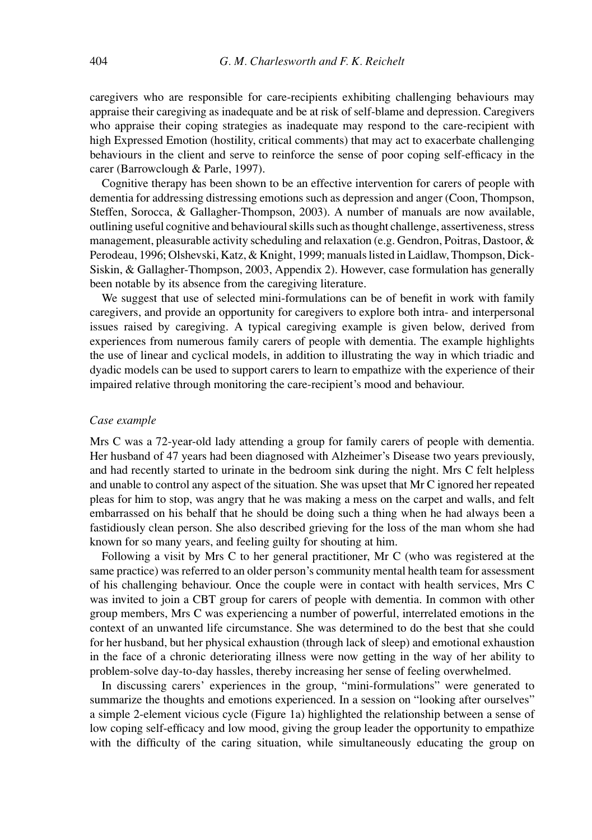caregivers who are responsible for care-recipients exhibiting challenging behaviours may appraise their caregiving as inadequate and be at risk of self-blame and depression. Caregivers who appraise their coping strategies as inadequate may respond to the care-recipient with high Expressed Emotion (hostility, critical comments) that may act to exacerbate challenging behaviours in the client and serve to reinforce the sense of poor coping self-efficacy in the carer (Barrowclough & Parle, 1997).

Cognitive therapy has been shown to be an effective intervention for carers of people with dementia for addressing distressing emotions such as depression and anger (Coon, Thompson, Steffen, Sorocca, & Gallagher-Thompson, 2003). A number of manuals are now available, outlining useful cognitive and behavioural skills such as thought challenge, assertiveness, stress management, pleasurable activity scheduling and relaxation (e.g. Gendron, Poitras, Dastoor, & Perodeau, 1996; Olshevski, Katz, & Knight, 1999; manuals listed in Laidlaw, Thompson, Dick-Siskin, & Gallagher-Thompson, 2003, Appendix 2). However, case formulation has generally been notable by its absence from the caregiving literature.

We suggest that use of selected mini-formulations can be of benefit in work with family caregivers, and provide an opportunity for caregivers to explore both intra- and interpersonal issues raised by caregiving. A typical caregiving example is given below, derived from experiences from numerous family carers of people with dementia. The example highlights the use of linear and cyclical models, in addition to illustrating the way in which triadic and dyadic models can be used to support carers to learn to empathize with the experience of their impaired relative through monitoring the care-recipient's mood and behaviour.

### *Case example*

Mrs C was a 72-year-old lady attending a group for family carers of people with dementia. Her husband of 47 years had been diagnosed with Alzheimer's Disease two years previously, and had recently started to urinate in the bedroom sink during the night. Mrs C felt helpless and unable to control any aspect of the situation. She was upset that Mr C ignored her repeated pleas for him to stop, was angry that he was making a mess on the carpet and walls, and felt embarrassed on his behalf that he should be doing such a thing when he had always been a fastidiously clean person. She also described grieving for the loss of the man whom she had known for so many years, and feeling guilty for shouting at him.

Following a visit by Mrs C to her general practitioner, Mr C (who was registered at the same practice) was referred to an older person's community mental health team for assessment of his challenging behaviour. Once the couple were in contact with health services, Mrs C was invited to join a CBT group for carers of people with dementia. In common with other group members, Mrs C was experiencing a number of powerful, interrelated emotions in the context of an unwanted life circumstance. She was determined to do the best that she could for her husband, but her physical exhaustion (through lack of sleep) and emotional exhaustion in the face of a chronic deteriorating illness were now getting in the way of her ability to problem-solve day-to-day hassles, thereby increasing her sense of feeling overwhelmed.

In discussing carers' experiences in the group, "mini-formulations" were generated to summarize the thoughts and emotions experienced. In a session on "looking after ourselves" a simple 2-element vicious cycle (Figure 1a) highlighted the relationship between a sense of low coping self-efficacy and low mood, giving the group leader the opportunity to empathize with the difficulty of the caring situation, while simultaneously educating the group on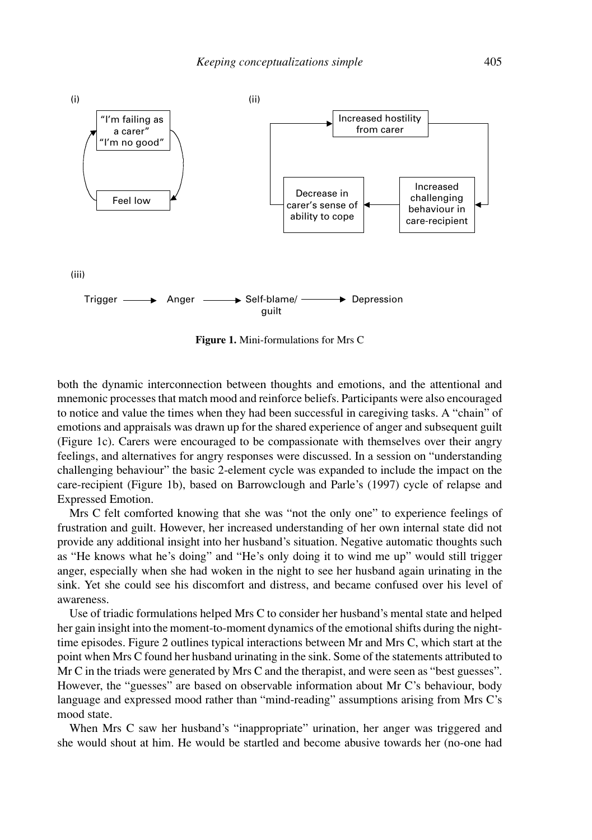

**Figure 1.** Mini-formulations for Mrs C

both the dynamic interconnection between thoughts and emotions, and the attentional and mnemonic processes that match mood and reinforce beliefs. Participants were also encouraged to notice and value the times when they had been successful in caregiving tasks. A "chain" of emotions and appraisals was drawn up for the shared experience of anger and subsequent guilt (Figure 1c). Carers were encouraged to be compassionate with themselves over their angry feelings, and alternatives for angry responses were discussed. In a session on "understanding challenging behaviour" the basic 2-element cycle was expanded to include the impact on the care-recipient (Figure 1b), based on Barrowclough and Parle's (1997) cycle of relapse and Expressed Emotion.

Mrs C felt comforted knowing that she was "not the only one" to experience feelings of frustration and guilt. However, her increased understanding of her own internal state did not provide any additional insight into her husband's situation. Negative automatic thoughts such as "He knows what he's doing" and "He's only doing it to wind me up" would still trigger anger, especially when she had woken in the night to see her husband again urinating in the sink. Yet she could see his discomfort and distress, and became confused over his level of awareness.

Use of triadic formulations helped Mrs C to consider her husband's mental state and helped her gain insight into the moment-to-moment dynamics of the emotional shifts during the nighttime episodes. Figure 2 outlines typical interactions between Mr and Mrs C, which start at the point when Mrs C found her husband urinating in the sink. Some of the statements attributed to Mr C in the triads were generated by Mrs C and the therapist, and were seen as "best guesses". However, the "guesses" are based on observable information about Mr C's behaviour, body language and expressed mood rather than "mind-reading" assumptions arising from Mrs C's mood state.

When Mrs C saw her husband's "inappropriate" urination, her anger was triggered and she would shout at him. He would be startled and become abusive towards her (no-one had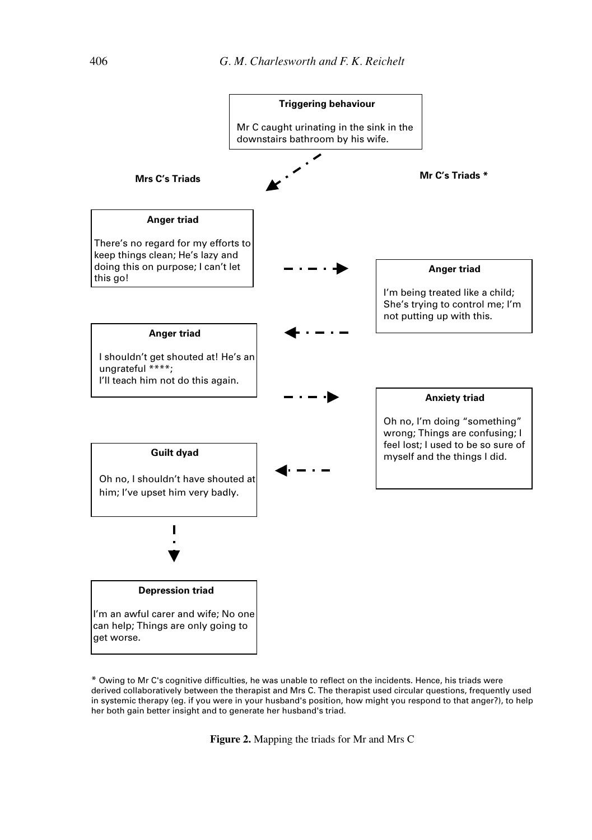

\* Owing to Mr C's cognitive difficulties, he was unable to reflect on the incidents. Hence, his triads were derived collaboratively between the therapist and Mrs C. The therapist used circular questions, frequently used in systemic therapy (eg. if you were in your husband's position, how might you respond to that anger?), to help her both gain better insight and to generate her husband's triad.

**Figure 2.** Mapping the triads for Mr and Mrs C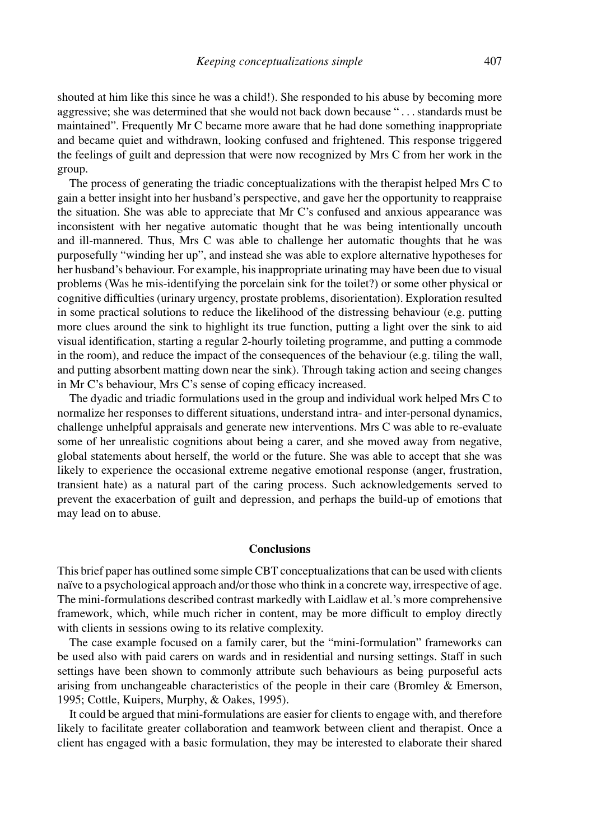shouted at him like this since he was a child!). She responded to his abuse by becoming more aggressive; she was determined that she would not back down because " *...*standards must be maintained". Frequently Mr C became more aware that he had done something inappropriate and became quiet and withdrawn, looking confused and frightened. This response triggered the feelings of guilt and depression that were now recognized by Mrs C from her work in the group.

The process of generating the triadic conceptualizations with the therapist helped Mrs C to gain a better insight into her husband's perspective, and gave her the opportunity to reappraise the situation. She was able to appreciate that Mr C's confused and anxious appearance was inconsistent with her negative automatic thought that he was being intentionally uncouth and ill-mannered. Thus, Mrs C was able to challenge her automatic thoughts that he was purposefully "winding her up", and instead she was able to explore alternative hypotheses for her husband's behaviour. For example, his inappropriate urinating may have been due to visual problems (Was he mis-identifying the porcelain sink for the toilet?) or some other physical or cognitive difficulties (urinary urgency, prostate problems, disorientation). Exploration resulted in some practical solutions to reduce the likelihood of the distressing behaviour (e.g. putting more clues around the sink to highlight its true function, putting a light over the sink to aid visual identification, starting a regular 2-hourly toileting programme, and putting a commode in the room), and reduce the impact of the consequences of the behaviour (e.g. tiling the wall, and putting absorbent matting down near the sink). Through taking action and seeing changes in Mr C's behaviour, Mrs C's sense of coping efficacy increased.

The dyadic and triadic formulations used in the group and individual work helped Mrs C to normalize her responses to different situations, understand intra- and inter-personal dynamics, challenge unhelpful appraisals and generate new interventions. Mrs C was able to re-evaluate some of her unrealistic cognitions about being a carer, and she moved away from negative, global statements about herself, the world or the future. She was able to accept that she was likely to experience the occasional extreme negative emotional response (anger, frustration, transient hate) as a natural part of the caring process. Such acknowledgements served to prevent the exacerbation of guilt and depression, and perhaps the build-up of emotions that may lead on to abuse.

# **Conclusions**

This brief paper has outlined some simple CBT conceptualizations that can be used with clients naïve to a psychological approach and/or those who think in a concrete way, irrespective of age. The mini-formulations described contrast markedly with Laidlaw et al.'s more comprehensive framework, which, while much richer in content, may be more difficult to employ directly with clients in sessions owing to its relative complexity.

The case example focused on a family carer, but the "mini-formulation" frameworks can be used also with paid carers on wards and in residential and nursing settings. Staff in such settings have been shown to commonly attribute such behaviours as being purposeful acts arising from unchangeable characteristics of the people in their care (Bromley  $\&$  Emerson, 1995; Cottle, Kuipers, Murphy, & Oakes, 1995).

It could be argued that mini-formulations are easier for clients to engage with, and therefore likely to facilitate greater collaboration and teamwork between client and therapist. Once a client has engaged with a basic formulation, they may be interested to elaborate their shared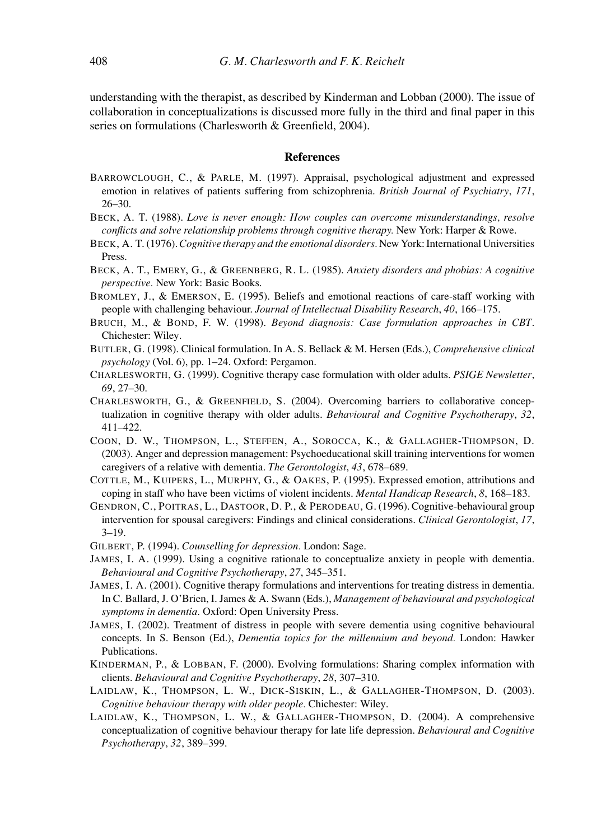understanding with the therapist, as described by Kinderman and Lobban (2000). The issue of collaboration in conceptualizations is discussed more fully in the third and final paper in this series on formulations (Charlesworth & Greenfield, 2004).

## **References**

- BARROWCLOUGH, C., & PARLE, M. (1997). Appraisal, psychological adjustment and expressed emotion in relatives of patients suffering from schizophrenia. *British Journal of Psychiatry*, *171*, 26–30.
- BECK, A. T. (1988). *Love is never enough: How couples can overcome misunderstandings, resolve conflicts and solve relationship problems through cognitive therapy.* New York: Harper & Rowe.
- BECK, A. T. (1976).*Cognitive therapy and the emotional disorders.* New York: International Universities Press.
- BECK, A. T., EMERY, G., & GREENBERG, R. L. (1985). *Anxiety disorders and phobias: A cognitive perspective.* New York: Basic Books.
- BROMLEY, J., & EMERSON, E. (1995). Beliefs and emotional reactions of care-staff working with people with challenging behaviour. *Journal of Intellectual Disability Research*, *40*, 166–175.
- BRUCH, M., & BOND, F. W. (1998). *Beyond diagnosis: Case formulation approaches in CBT*. Chichester: Wiley.
- BUTLER, G. (1998). Clinical formulation. In A. S. Bellack & M. Hersen (Eds.), *Comprehensive clinical psychology* (Vol. 6), pp. 1–24. Oxford: Pergamon.
- CHARLESWORTH, G. (1999). Cognitive therapy case formulation with older adults. *PSIGE Newsletter*, *69*, 27–30.
- CHARLESWORTH, G., & GREENFIELD, S. (2004). Overcoming barriers to collaborative conceptualization in cognitive therapy with older adults. *Behavioural and Cognitive Psychotherapy*, *32*, 411–422.
- COON, D. W., THOMPSON, L., STEFFEN, A., SOROCCA, K., & GALLAGHER-THOMPSON, D. (2003). Anger and depression management: Psychoeducational skill training interventions for women caregivers of a relative with dementia. *The Gerontologist*, *43*, 678–689.
- COTTLE, M., KUIPERS, L., MURPHY, G., & OAKES, P. (1995). Expressed emotion, attributions and coping in staff who have been victims of violent incidents. *Mental Handicap Research*, *8*, 168–183.
- GENDRON, C., POITRAS, L., DASTOOR, D. P., & PERODEAU, G. (1996). Cognitive-behavioural group intervention for spousal caregivers: Findings and clinical considerations. *Clinical Gerontologist*, *17*, 3–19.
- GILBERT, P. (1994). *Counselling for depression.* London: Sage.
- JAMES, I. A. (1999). Using a cognitive rationale to conceptualize anxiety in people with dementia. *Behavioural and Cognitive Psychotherapy*, *27*, 345–351.
- JAMES, I. A. (2001). Cognitive therapy formulations and interventions for treating distress in dementia. In C. Ballard, J. O'Brien, I. James & A. Swann (Eds.), *Management of behavioural and psychological symptoms in dementia.* Oxford: Open University Press.
- JAMES, I. (2002). Treatment of distress in people with severe dementia using cognitive behavioural concepts. In S. Benson (Ed.), *Dementia topics for the millennium and beyond.* London: Hawker Publications.
- KINDERMAN, P., & LOBBAN, F. (2000). Evolving formulations: Sharing complex information with clients. *Behavioural and Cognitive Psychotherapy*, *28*, 307–310.
- LAIDLAW, K., THOMPSON, L. W., DICK-SISKIN, L., & GALLAGHER-THOMPSON, D. (2003). *Cognitive behaviour therapy with older people.* Chichester: Wiley.
- LAIDLAW, K., THOMPSON, L. W., & GALLAGHER-THOMPSON, D. (2004). A comprehensive conceptualization of cognitive behaviour therapy for late life depression. *Behavioural and Cognitive Psychotherapy*, *32*, 389–399.